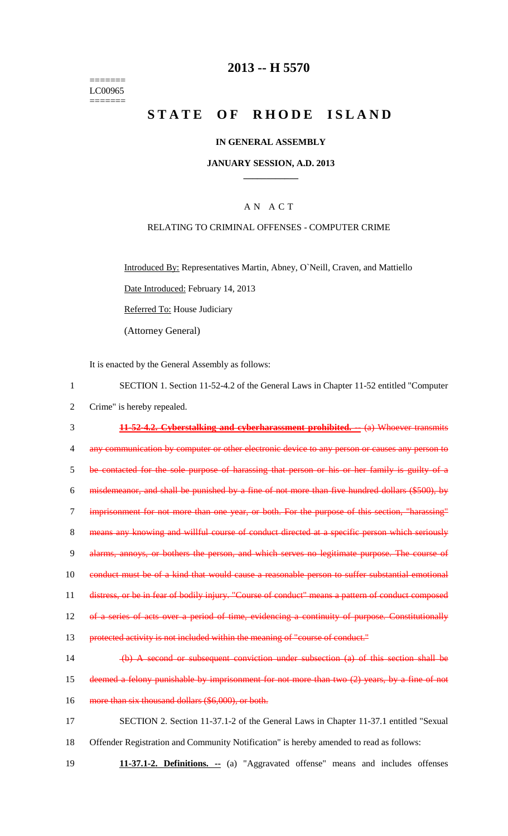======= LC00965 =======

## **2013 -- H 5570**

# **STATE OF RHODE ISLAND**

### **IN GENERAL ASSEMBLY**

#### **JANUARY SESSION, A.D. 2013 \_\_\_\_\_\_\_\_\_\_\_\_**

#### A N A C T

#### RELATING TO CRIMINAL OFFENSES - COMPUTER CRIME

Introduced By: Representatives Martin, Abney, O`Neill, Craven, and Mattiello

Date Introduced: February 14, 2013

Referred To: House Judiciary

(Attorney General)

It is enacted by the General Assembly as follows:

1 SECTION 1. Section 11-52-4.2 of the General Laws in Chapter 11-52 entitled "Computer 2 Crime" is hereby repealed.

3 **11-52-4.2. Cyberstalking and cyberharassment prohibited. --** (a) Whoever transmits 4 any communication by computer or other electronic device to any person or causes any person to 5 be contacted for the sole purpose of harassing that person or his or her family is guilty of a 6 misdemeanor, and shall be punished by a fine of not more than five hundred dollars (\$500), by 7 imprisonment for not more than one year, or both. For the purpose of this section, "harassing" 8 means any knowing and willful course of conduct directed at a specific person which seriously 9 alarms, annoys, or bothers the person, and which serves no legitimate purpose. The course of 10 conduct must be of a kind that would cause a reasonable person to suffer substantial emotional 11 distress, or be in fear of bodily injury. "Course of conduct" means a pattern of conduct composed 12 of a series of acts over a period of time, evidencing a continuity of purpose. Constitutionally 13 protected activity is not included within the meaning of "course of conduct." 14 (b) A second or subsequent conviction under subsection (a) of this section shall be

15 deemed a felony punishable by imprisonment for not more than two (2) years, by a fine of not 16 more than six thousand dollars (\$6,000), or both.

17 SECTION 2. Section 11-37.1-2 of the General Laws in Chapter 11-37.1 entitled "Sexual 18 Offender Registration and Community Notification" is hereby amended to read as follows:

19 **11-37.1-2. Definitions. --** (a) "Aggravated offense" means and includes offenses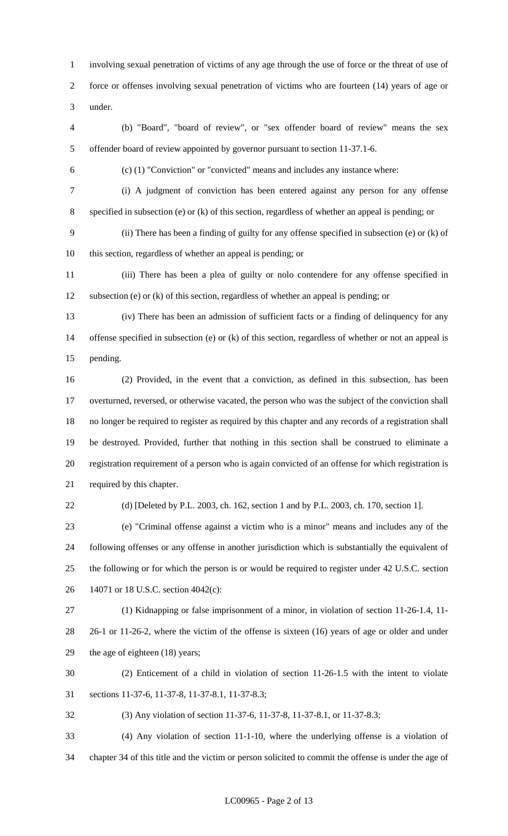1 involving sexual penetration of victims of any age through the use of force or the threat of use of 2 force or offenses involving sexual penetration of victims who are fourteen (14) years of age or 3 under.

4 (b) "Board", "board of review", or "sex offender board of review" means the sex 5 offender board of review appointed by governor pursuant to section 11-37.1-6.

6 (c) (1) "Conviction" or "convicted" means and includes any instance where:

7 (i) A judgment of conviction has been entered against any person for any offense 8 specified in subsection (e) or (k) of this section, regardless of whether an appeal is pending; or

9 (ii) There has been a finding of guilty for any offense specified in subsection (e) or (k) of 10 this section, regardless of whether an appeal is pending; or

11 (iii) There has been a plea of guilty or nolo contendere for any offense specified in 12 subsection (e) or (k) of this section, regardless of whether an appeal is pending; or

13 (iv) There has been an admission of sufficient facts or a finding of delinquency for any 14 offense specified in subsection (e) or (k) of this section, regardless of whether or not an appeal is 15 pending.

16 (2) Provided, in the event that a conviction, as defined in this subsection, has been 17 overturned, reversed, or otherwise vacated, the person who was the subject of the conviction shall 18 no longer be required to register as required by this chapter and any records of a registration shall 19 be destroyed. Provided, further that nothing in this section shall be construed to eliminate a 20 registration requirement of a person who is again convicted of an offense for which registration is 21 required by this chapter.

22 (d) [Deleted by P.L. 2003, ch. 162, section 1 and by P.L. 2003, ch. 170, section 1].

23 (e) "Criminal offense against a victim who is a minor" means and includes any of the 24 following offenses or any offense in another jurisdiction which is substantially the equivalent of 25 the following or for which the person is or would be required to register under 42 U.S.C. section 26 14071 or 18 U.S.C. section 4042(c):

27 (1) Kidnapping or false imprisonment of a minor, in violation of section 11-26-1.4, 11- 28 26-1 or 11-26-2, where the victim of the offense is sixteen (16) years of age or older and under 29 the age of eighteen (18) years;

30 (2) Enticement of a child in violation of section 11-26-1.5 with the intent to violate 31 sections 11-37-6, 11-37-8, 11-37-8.1, 11-37-8.3;

32 (3) Any violation of section 11-37-6, 11-37-8, 11-37-8.1, or 11-37-8.3;

33 (4) Any violation of section 11-1-10, where the underlying offense is a violation of 34 chapter 34 of this title and the victim or person solicited to commit the offense is under the age of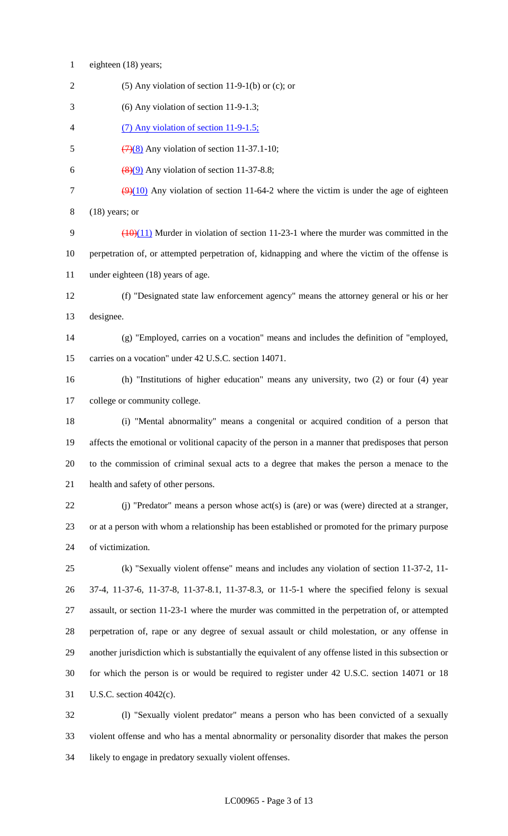- 1 eighteen (18) years;
- 2 (5) Any violation of section 11-9-1(b) or (c); or
- 3 (6) Any violation of section 11-9-1.3;
- 4 (7) Any violation of section 11-9-1.5;
- 5  $(7)(8)$  Any violation of section 11-37.1-10;
- 6  $\left(\frac{8}{9}\right)$  Any violation of section 11-37-8.8;
- 7  $\left(\frac{9}{10}\right)$  Any violation of section 11-64-2 where the victim is under the age of eighteen 8 (18) years; or
- 9  $(10)(11)$  Murder in violation of section 11-23-1 where the murder was committed in the 10 perpetration of, or attempted perpetration of, kidnapping and where the victim of the offense is 11 under eighteen (18) years of age.
- 12 (f) "Designated state law enforcement agency" means the attorney general or his or her 13 designee.
- 14 (g) "Employed, carries on a vocation" means and includes the definition of "employed, 15 carries on a vocation" under 42 U.S.C. section 14071.
- 16 (h) "Institutions of higher education" means any university, two (2) or four (4) year 17 college or community college.
- 18 (i) "Mental abnormality" means a congenital or acquired condition of a person that 19 affects the emotional or volitional capacity of the person in a manner that predisposes that person 20 to the commission of criminal sexual acts to a degree that makes the person a menace to the 21 health and safety of other persons.
- 22 (j) "Predator" means a person whose act(s) is (are) or was (were) directed at a stranger, 23 or at a person with whom a relationship has been established or promoted for the primary purpose 24 of victimization.
- 25 (k) "Sexually violent offense" means and includes any violation of section 11-37-2, 11- 26 37-4, 11-37-6, 11-37-8, 11-37-8.1, 11-37-8.3, or 11-5-1 where the specified felony is sexual 27 assault, or section 11-23-1 where the murder was committed in the perpetration of, or attempted 28 perpetration of, rape or any degree of sexual assault or child molestation, or any offense in 29 another jurisdiction which is substantially the equivalent of any offense listed in this subsection or 30 for which the person is or would be required to register under 42 U.S.C. section 14071 or 18 31 U.S.C. section 4042(c).
- 32 (l) "Sexually violent predator" means a person who has been convicted of a sexually 33 violent offense and who has a mental abnormality or personality disorder that makes the person 34 likely to engage in predatory sexually violent offenses.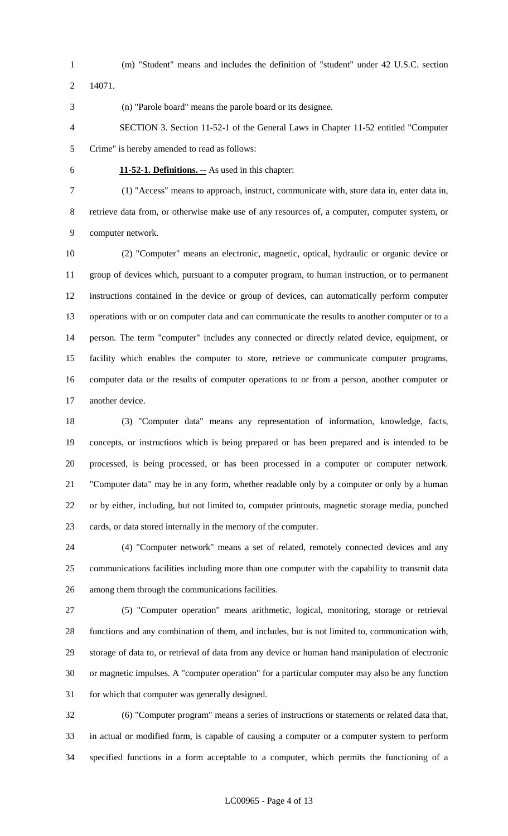- 
- 1 (m) "Student" means and includes the definition of "student" under 42 U.S.C. section

2 14071.

3 (n) "Parole board" means the parole board or its designee.

- 4 SECTION 3. Section 11-52-1 of the General Laws in Chapter 11-52 entitled "Computer 5 Crime" is hereby amended to read as follows:
- 

6 **11-52-1. Definitions. --** As used in this chapter:

7 (1) "Access" means to approach, instruct, communicate with, store data in, enter data in, 8 retrieve data from, or otherwise make use of any resources of, a computer, computer system, or 9 computer network.

10 (2) "Computer" means an electronic, magnetic, optical, hydraulic or organic device or 11 group of devices which, pursuant to a computer program, to human instruction, or to permanent 12 instructions contained in the device or group of devices, can automatically perform computer 13 operations with or on computer data and can communicate the results to another computer or to a 14 person. The term "computer" includes any connected or directly related device, equipment, or 15 facility which enables the computer to store, retrieve or communicate computer programs, 16 computer data or the results of computer operations to or from a person, another computer or 17 another device.

18 (3) "Computer data" means any representation of information, knowledge, facts, 19 concepts, or instructions which is being prepared or has been prepared and is intended to be 20 processed, is being processed, or has been processed in a computer or computer network. 21 "Computer data" may be in any form, whether readable only by a computer or only by a human 22 or by either, including, but not limited to, computer printouts, magnetic storage media, punched 23 cards, or data stored internally in the memory of the computer.

24 (4) "Computer network" means a set of related, remotely connected devices and any 25 communications facilities including more than one computer with the capability to transmit data 26 among them through the communications facilities.

27 (5) "Computer operation" means arithmetic, logical, monitoring, storage or retrieval 28 functions and any combination of them, and includes, but is not limited to, communication with, 29 storage of data to, or retrieval of data from any device or human hand manipulation of electronic 30 or magnetic impulses. A "computer operation" for a particular computer may also be any function 31 for which that computer was generally designed.

32 (6) "Computer program" means a series of instructions or statements or related data that, 33 in actual or modified form, is capable of causing a computer or a computer system to perform 34 specified functions in a form acceptable to a computer, which permits the functioning of a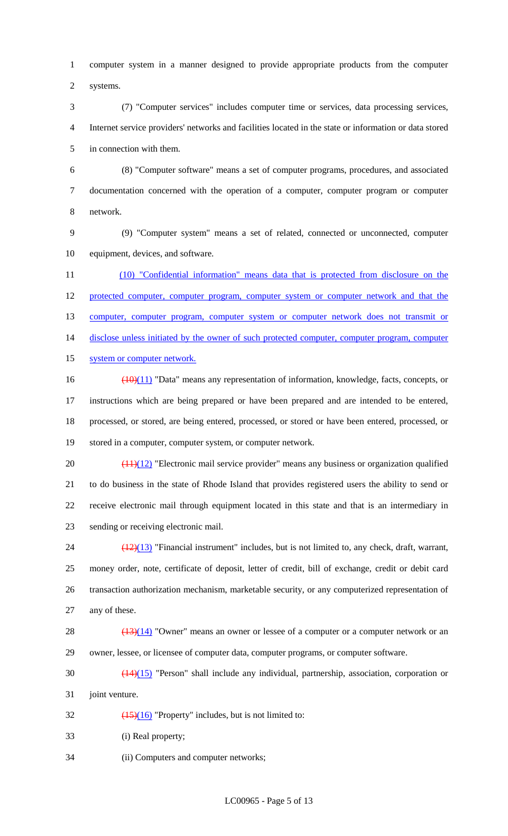1 computer system in a manner designed to provide appropriate products from the computer 2 systems.

3 (7) "Computer services" includes computer time or services, data processing services, 4 Internet service providers' networks and facilities located in the state or information or data stored 5 in connection with them.

6 (8) "Computer software" means a set of computer programs, procedures, and associated 7 documentation concerned with the operation of a computer, computer program or computer 8 network.

9 (9) "Computer system" means a set of related, connected or unconnected, computer 10 equipment, devices, and software.

11 (10) "Confidential information" means data that is protected from disclosure on the 12 protected computer, computer program, computer system or computer network and that the 13 computer, computer program, computer system or computer network does not transmit or 14 disclose unless initiated by the owner of such protected computer, computer program, computer 15 system or computer network.

16 (10)(11) "Data" means any representation of information, knowledge, facts, concepts, or 17 instructions which are being prepared or have been prepared and are intended to be entered, 18 processed, or stored, are being entered, processed, or stored or have been entered, processed, or 19 stored in a computer, computer system, or computer network.

20  $\left(\frac{(11)(12)}{2}\right)$  "Electronic mail service provider" means any business or organization qualified 21 to do business in the state of Rhode Island that provides registered users the ability to send or 22 receive electronic mail through equipment located in this state and that is an intermediary in 23 sending or receiving electronic mail.

 $\frac{(12)(13)}{12}$  "Financial instrument" includes, but is not limited to, any check, draft, warrant, 25 money order, note, certificate of deposit, letter of credit, bill of exchange, credit or debit card 26 transaction authorization mechanism, marketable security, or any computerized representation of 27 any of these.

28  $\left(\frac{(13)(14)}{2}\right)$  "Owner" means an owner or lessee of a computer or a computer network or an 29 owner, lessee, or licensee of computer data, computer programs, or computer software.

30 (14)(15) "Person" shall include any individual, partnership, association, corporation or 31 joint venture.

32  $\left(\frac{(15)(16)}{2}\right)$  "Property" includes, but is not limited to:

33 (i) Real property;

34 (ii) Computers and computer networks;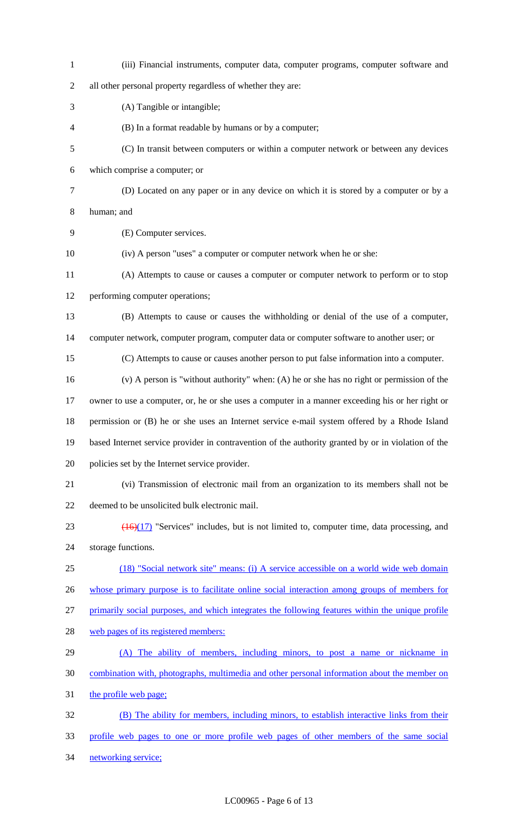| $\mathbf{1}$   | (iii) Financial instruments, computer data, computer programs, computer software and                |
|----------------|-----------------------------------------------------------------------------------------------------|
| $\overline{2}$ | all other personal property regardless of whether they are:                                         |
| 3              | (A) Tangible or intangible;                                                                         |
| 4              | (B) In a format readable by humans or by a computer;                                                |
| 5              | (C) In transit between computers or within a computer network or between any devices                |
| 6              | which comprise a computer; or                                                                       |
| 7              | (D) Located on any paper or in any device on which it is stored by a computer or by a               |
| 8              | human; and                                                                                          |
| 9              | (E) Computer services.                                                                              |
| 10             | (iv) A person "uses" a computer or computer network when he or she:                                 |
| 11             | (A) Attempts to cause or causes a computer or computer network to perform or to stop                |
| 12             | performing computer operations;                                                                     |
| 13             | (B) Attempts to cause or causes the withholding or denial of the use of a computer,                 |
| 14             | computer network, computer program, computer data or computer software to another user; or          |
| 15             | (C) Attempts to cause or causes another person to put false information into a computer.            |
| 16             | $(v)$ A person is "without authority" when: (A) he or she has no right or permission of the         |
| 17             | owner to use a computer, or, he or she uses a computer in a manner exceeding his or her right or    |
| 18             | permission or (B) he or she uses an Internet service e-mail system offered by a Rhode Island        |
| 19             | based Internet service provider in contravention of the authority granted by or in violation of the |
| 20             | policies set by the Internet service provider.                                                      |
| 21             | (vi) Transmission of electronic mail from an organization to its members shall not be               |
| 22             | deemed to be unsolicited bulk electronic mail.                                                      |
| 23             | $(16)(17)$ "Services" includes, but is not limited to, computer time, data processing, and          |
| 24             | storage functions.                                                                                  |
| 25             | (18) "Social network site" means: (i) A service accessible on a world wide web domain               |
| 26             | whose primary purpose is to facilitate online social interaction among groups of members for        |
| 27             | primarily social purposes, and which integrates the following features within the unique profile    |
| 28             | web pages of its registered members:                                                                |
| 29             | (A) The ability of members, including minors, to post a name or nickname in                         |
| 30             | combination with, photographs, multimedia and other personal information about the member on        |
| 31             | the profile web page;                                                                               |
| 32             | (B) The ability for members, including minors, to establish interactive links from their            |
| 33             | profile web pages to one or more profile web pages of other members of the same social              |
| 34             | networking service;                                                                                 |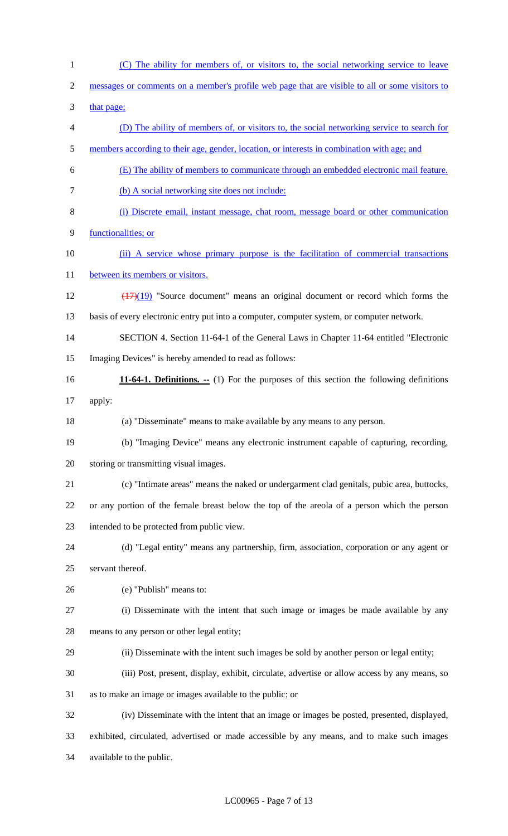1 (C) The ability for members of, or visitors to, the social networking service to leave 2 messages or comments on a member's profile web page that are visible to all or some visitors to 3 that page; 4 (D) The ability of members of, or visitors to, the social networking service to search for 5 members according to their age, gender, location, or interests in combination with age; and 6 (E) The ability of members to communicate through an embedded electronic mail feature. 7 (b) A social networking site does not include: 8 (i) Discrete email, instant message, chat room, message board or other communication 9 functionalities; or 10 (ii) A service whose primary purpose is the facilitation of commercial transactions 11 between its members or visitors. 12 (17)(19) "Source document" means an original document or record which forms the 13 basis of every electronic entry put into a computer, computer system, or computer network. 14 SECTION 4. Section 11-64-1 of the General Laws in Chapter 11-64 entitled "Electronic 15 Imaging Devices" is hereby amended to read as follows: 16 **11-64-1. Definitions. --** (1) For the purposes of this section the following definitions 17 apply: 18 (a) "Disseminate" means to make available by any means to any person. 19 (b) "Imaging Device" means any electronic instrument capable of capturing, recording, 20 storing or transmitting visual images. 21 (c) "Intimate areas" means the naked or undergarment clad genitals, pubic area, buttocks, 22 or any portion of the female breast below the top of the areola of a person which the person 23 intended to be protected from public view. 24 (d) "Legal entity" means any partnership, firm, association, corporation or any agent or 25 servant thereof. 26 (e) "Publish" means to: 27 (i) Disseminate with the intent that such image or images be made available by any 28 means to any person or other legal entity; 29 (ii) Disseminate with the intent such images be sold by another person or legal entity; 30 (iii) Post, present, display, exhibit, circulate, advertise or allow access by any means, so 31 as to make an image or images available to the public; or 32 (iv) Disseminate with the intent that an image or images be posted, presented, displayed, 33 exhibited, circulated, advertised or made accessible by any means, and to make such images 34 available to the public.

#### LC00965 - Page 7 of 13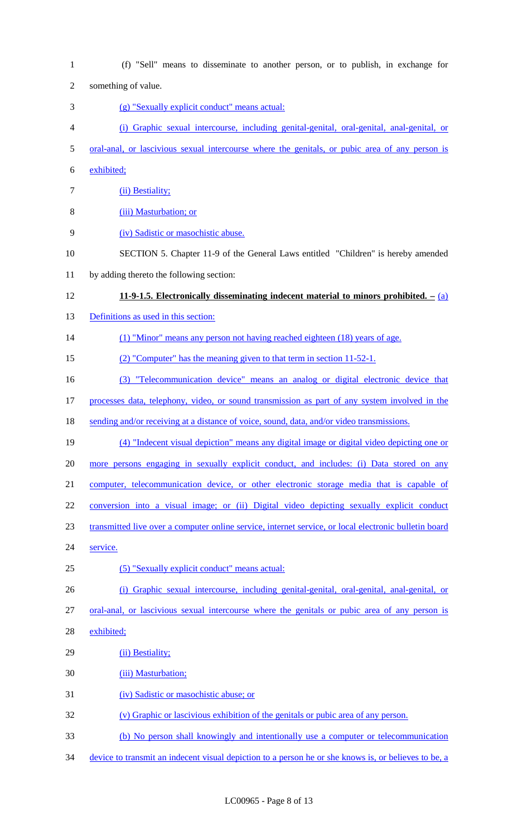1 (f) "Sell" means to disseminate to another person, or to publish, in exchange for 2 something of value. 3 (g) "Sexually explicit conduct" means actual: 4 (i) Graphic sexual intercourse, including genital-genital, oral-genital, anal-genital, or 5 oral-anal, or lascivious sexual intercourse where the genitals, or pubic area of any person is 6 exhibited; 7 (ii) Bestiality; 8 (iii) Masturbation; or 9 (iv) Sadistic or masochistic abuse. 10 SECTION 5. Chapter 11-9 of the General Laws entitled "Children" is hereby amended 11 by adding thereto the following section: 12 **11-9-1.5. Electronically disseminating indecent material to minors prohibited. –** (a) 13 Definitions as used in this section: 14 (1) "Minor" means any person not having reached eighteen (18) years of age. 15 (2) "Computer" has the meaning given to that term in section 11-52-1. 16 (3) "Telecommunication device" means an analog or digital electronic device that 17 processes data, telephony, video, or sound transmission as part of any system involved in the 18 sending and/or receiving at a distance of voice, sound, data, and/or video transmissions. 19 (4) "Indecent visual depiction" means any digital image or digital video depicting one or 20 more persons engaging in sexually explicit conduct, and includes: (i) Data stored on any 21 computer, telecommunication device, or other electronic storage media that is capable of 22 conversion into a visual image; or (ii) Digital video depicting sexually explicit conduct 23 transmitted live over a computer online service, internet service, or local electronic bulletin board 24 service. 25 (5) "Sexually explicit conduct" means actual: 26 (i) Graphic sexual intercourse, including genital-genital, oral-genital, anal-genital, or 27 oral-anal, or lascivious sexual intercourse where the genitals or pubic area of any person is 28 exhibited; 29 (ii) Bestiality; 30 (iii) Masturbation; 31 (iv) Sadistic or masochistic abuse; or 32 (v) Graphic or lascivious exhibition of the genitals or pubic area of any person. 33 (b) No person shall knowingly and intentionally use a computer or telecommunication 34 device to transmit an indecent visual depiction to a person he or she knows is, or believes to be, a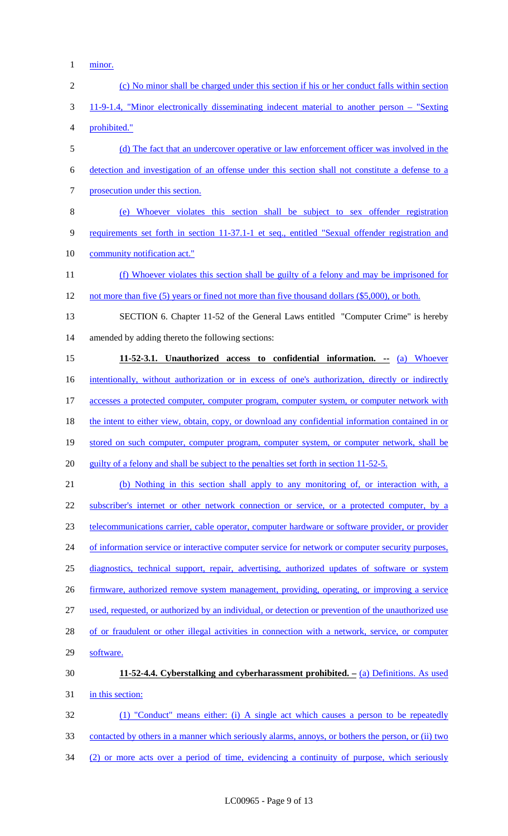1 <u>minor.</u>

| $\mathbf{2}$   | (c) No minor shall be charged under this section if his or her conduct falls within section         |
|----------------|-----------------------------------------------------------------------------------------------------|
| 3              | 11-9-1.4, "Minor electronically disseminating indecent material to another person – "Sexting"       |
| $\overline{4}$ | prohibited."                                                                                        |
| 5              | (d) The fact that an undercover operative or law enforcement officer was involved in the            |
| 6              | detection and investigation of an offense under this section shall not constitute a defense to a    |
| $\tau$         | prosecution under this section.                                                                     |
| $8\,$          | (e) Whoever violates this section shall be subject to sex offender registration                     |
| 9              | requirements set forth in section 11-37.1-1 et seq., entitled "Sexual offender registration and     |
| 10             | community notification act."                                                                        |
| 11             | (f) Whoever violates this section shall be guilty of a felony and may be imprisoned for             |
| 12             | not more than five (5) years or fined not more than five thousand dollars (\$5,000), or both.       |
| 13             | SECTION 6. Chapter 11-52 of the General Laws entitled "Computer Crime" is hereby                    |
| 14             | amended by adding thereto the following sections:                                                   |
| 15             | 11-52-3.1. Unauthorized access to confidential information. -- (a) Whoever                          |
| 16             | intentionally, without authorization or in excess of one's authorization, directly or indirectly    |
| 17             | accesses a protected computer, computer program, computer system, or computer network with          |
| 18             | the intent to either view, obtain, copy, or download any confidential information contained in or   |
| 19             | stored on such computer, computer program, computer system, or computer network, shall be           |
| 20             | guilty of a felony and shall be subject to the penalties set forth in section 11-52-5.              |
| 21             | (b) Nothing in this section shall apply to any monitoring of, or interaction with, a                |
| 22             | subscriber's internet or other network connection or service, or a protected computer, by a         |
| 23             | telecommunications carrier, cable operator, computer hardware or software provider, or provider     |
| 24             | of information service or interactive computer service for network or computer security purposes,   |
| 25             | diagnostics, technical support, repair, advertising, authorized updates of software or system       |
| 26             | firmware, authorized remove system management, providing, operating, or improving a service         |
| 27             | used, requested, or authorized by an individual, or detection or prevention of the unauthorized use |
| 28             | of or fraudulent or other illegal activities in connection with a network, service, or computer     |
| 29             | software.                                                                                           |
| 30             | 11-52-4.4. Cyberstalking and cyberharassment prohibited. $-$ (a) Definitions. As used               |
| 31             | in this section:                                                                                    |
| 32             | (1) "Conduct" means either: (i) A single act which causes a person to be repeatedly                 |
| 33             | contacted by others in a manner which seriously alarms, annoys, or bothers the person, or (ii) two  |
| 34             | (2) or more acts over a period of time, evidencing a continuity of purpose, which seriously         |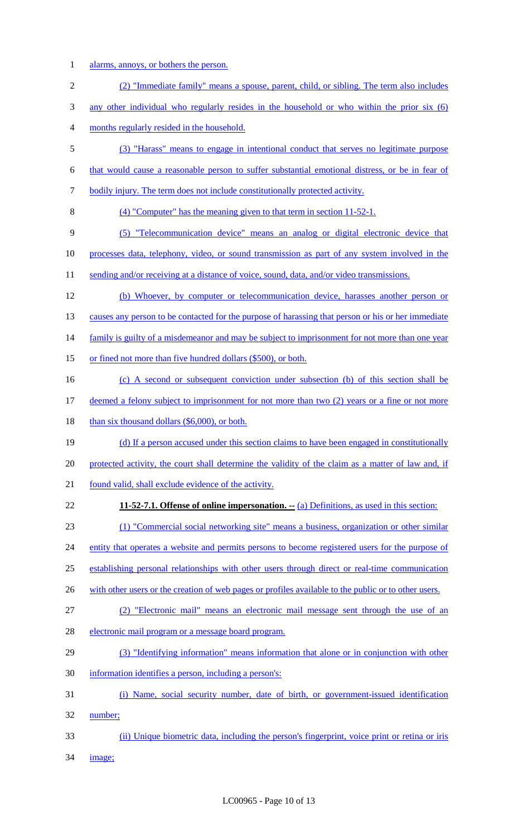1 alarms, annoys, or bothers the person.

| $\mathbf{2}$ | (2) "Immediate family" means a spouse, parent, child, or sibling. The term also includes             |
|--------------|------------------------------------------------------------------------------------------------------|
| 3            | any other individual who regularly resides in the household or who within the prior six (6)          |
| 4            | months regularly resided in the household.                                                           |
| 5            | (3) "Harass" means to engage in intentional conduct that serves no legitimate purpose                |
| 6            | that would cause a reasonable person to suffer substantial emotional distress, or be in fear of      |
| 7            | bodily injury. The term does not include constitutionally protected activity.                        |
| 8            | (4) "Computer" has the meaning given to that term in section 11-52-1.                                |
| 9            | (5) "Telecommunication device" means an analog or digital electronic device that                     |
| 10           | processes data, telephony, video, or sound transmission as part of any system involved in the        |
| 11           | sending and/or receiving at a distance of voice, sound, data, and/or video transmissions.            |
| 12           | (b) Whoever, by computer or telecommunication device, harasses another person or                     |
| 13           | causes any person to be contacted for the purpose of harassing that person or his or her immediate   |
| 14           | family is guilty of a misdemeanor and may be subject to imprisonment for not more than one year      |
| 15           | or fined not more than five hundred dollars (\$500), or both.                                        |
| 16           | (c) A second or subsequent conviction under subsection (b) of this section shall be                  |
| 17           | deemed a felony subject to imprisonment for not more than two (2) years or a fine or not more        |
| 18           | than six thousand dollars $(\$6,000)$ , or both.                                                     |
| 19           | (d) If a person accused under this section claims to have been engaged in constitutionally           |
| 20           | protected activity, the court shall determine the validity of the claim as a matter of law and, if   |
| 21           | found valid, shall exclude evidence of the activity.                                                 |
| 22           | <b>11-52-7.1. Offense of online impersonation.</b> -- (a) Definitions, as used in this section:      |
| 23           | (1) "Commercial social networking site" means a business, organization or other similar              |
| 24           | entity that operates a website and permits persons to become registered users for the purpose of     |
| 25           | establishing personal relationships with other users through direct or real-time communication       |
| 26           | with other users or the creation of web pages or profiles available to the public or to other users. |
| 27           | (2) "Electronic mail" means an electronic mail message sent through the use of an                    |
| 28           | electronic mail program or a message board program.                                                  |
| 29           | (3) "Identifying information" means information that alone or in conjunction with other              |
| 30           | information identifies a person, including a person's:                                               |
| 31           | (i) Name, social security number, date of birth, or government-issued identification                 |
| 32           | number;                                                                                              |
| 33           | (ii) Unique biometric data, including the person's fingerprint, voice print or retina or iris        |
| 34           | image;                                                                                               |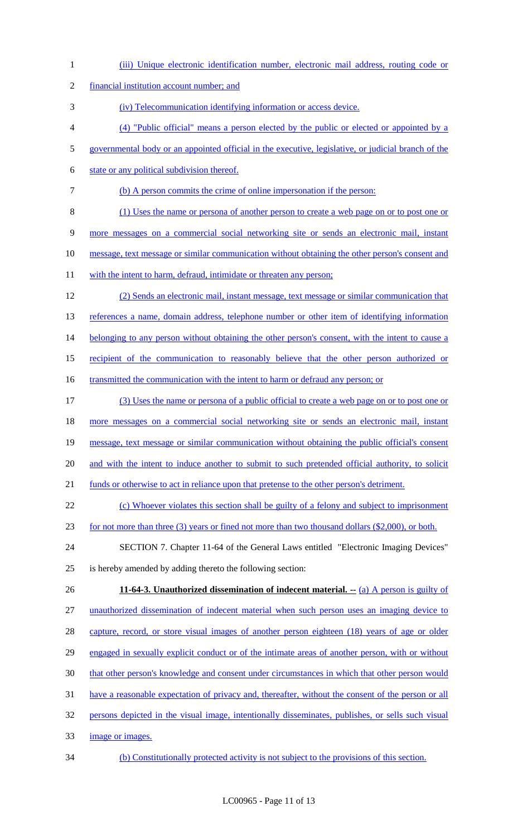| $\mathbf{1}$   | (iii) Unique electronic identification number, electronic mail address, routing code or             |
|----------------|-----------------------------------------------------------------------------------------------------|
| $\overline{2}$ | financial institution account number; and                                                           |
| 3              | (iv) Telecommunication identifying information or access device.                                    |
| 4              | (4) "Public official" means a person elected by the public or elected or appointed by a             |
| 5              | governmental body or an appointed official in the executive, legislative, or judicial branch of the |
| 6              | state or any political subdivision thereof.                                                         |
| 7              | (b) A person commits the crime of online impersonation if the person:                               |
| 8              | (1) Uses the name or persona of another person to create a web page on or to post one or            |
| 9              | more messages on a commercial social networking site or sends an electronic mail, instant           |
| 10             | message, text message or similar communication without obtaining the other person's consent and     |
| 11             | with the intent to harm, defraud, intimidate or threaten any person;                                |
| 12             | (2) Sends an electronic mail, instant message, text message or similar communication that           |
| 13             | references a name, domain address, telephone number or other item of identifying information        |
| 14             | belonging to any person without obtaining the other person's consent, with the intent to cause a    |
| 15             | recipient of the communication to reasonably believe that the other person authorized or            |
| 16             | transmitted the communication with the intent to harm or defraud any person; or                     |
| 17             | (3) Uses the name or persona of a public official to create a web page on or to post one or         |
| 18             | more messages on a commercial social networking site or sends an electronic mail, instant           |
| 19             | message, text message or similar communication without obtaining the public official's consent      |
| 20             | and with the intent to induce another to submit to such pretended official authority, to solicity   |
| 21             | funds or otherwise to act in reliance upon that pretense to the other person's detriment.           |
| 22             | (c) Whoever violates this section shall be guilty of a felony and subject to imprisonment           |
| 23             | for not more than three (3) years or fined not more than two thousand dollars (\$2,000), or both.   |
| 24             | SECTION 7. Chapter 11-64 of the General Laws entitled "Electronic Imaging Devices"                  |
| 25             | is hereby amended by adding thereto the following section:                                          |
| 26             | 11-64-3. Unauthorized dissemination of indecent material. -- (a) A person is guilty of              |
| 27             | unauthorized dissemination of indecent material when such person uses an imaging device to          |
| 28             | capture, record, or store visual images of another person eighteen (18) years of age or older       |
| 29             | engaged in sexually explicit conduct or of the intimate areas of another person, with or without    |
| 30             | that other person's knowledge and consent under circumstances in which that other person would      |
| 31             | have a reasonable expectation of privacy and, thereafter, without the consent of the person or all  |
| 32             | persons depicted in the visual image, intentionally disseminates, publishes, or sells such visual   |
| 33             | image or images.                                                                                    |
| 34             | (b) Constitutionally protected activity is not subject to the provisions of this section.           |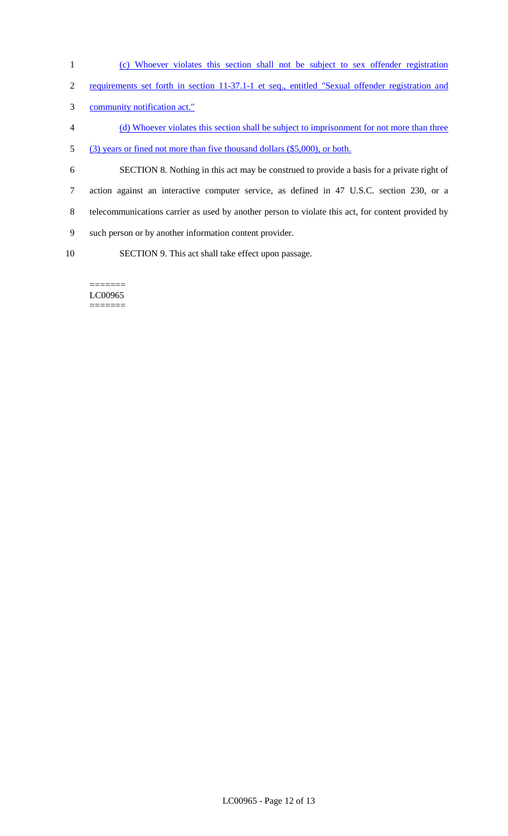- 1 (c) Whoever violates this section shall not be subject to sex offender registration
- 2 requirements set forth in section 11-37.1-1 et seq., entitled "Sexual offender registration and
- 3 community notification act."
- 4 (d) Whoever violates this section shall be subject to imprisonment for not more than three
- 5 (3) years or fined not more than five thousand dollars (\$5,000), or both.
- 6 SECTION 8. Nothing in this act may be construed to provide a basis for a private right of 7 action against an interactive computer service, as defined in 47 U.S.C. section 230, or a 8 telecommunications carrier as used by another person to violate this act, for content provided by 9 such person or by another information content provider.
- 10 SECTION 9. This act shall take effect upon passage.

======= LC00965 =======